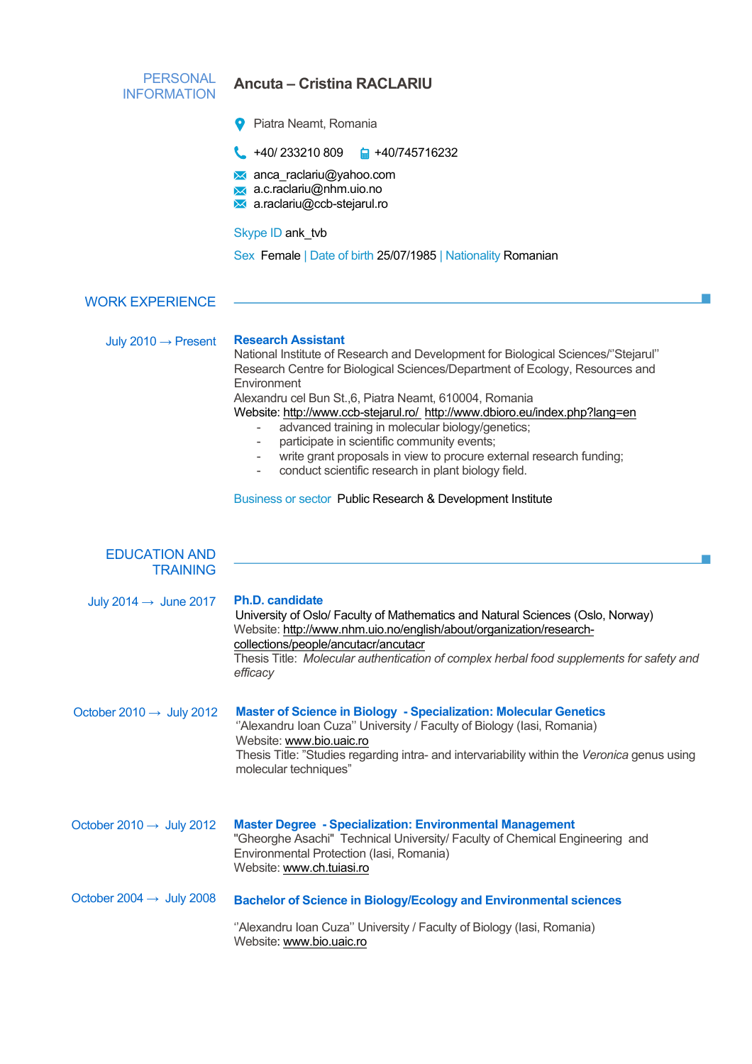| <b>PERSONAL</b><br><b>INFORMATION</b>   | <b>Ancuta – Cristina RACLARIU</b>                                                                                                                                                                                                                                                                                                                                                                                                                                                                                                                                                                                                                     |  |  |  |  |
|-----------------------------------------|-------------------------------------------------------------------------------------------------------------------------------------------------------------------------------------------------------------------------------------------------------------------------------------------------------------------------------------------------------------------------------------------------------------------------------------------------------------------------------------------------------------------------------------------------------------------------------------------------------------------------------------------------------|--|--|--|--|
|                                         | Piatra Neamt, Romania                                                                                                                                                                                                                                                                                                                                                                                                                                                                                                                                                                                                                                 |  |  |  |  |
|                                         | $\begin{array}{ccc} \bullet & +40/233210809 & \text{m} & +40/745716232 \end{array}$                                                                                                                                                                                                                                                                                                                                                                                                                                                                                                                                                                   |  |  |  |  |
|                                         | <b>M</b> anca_raclariu@yahoo.com<br>a.c.raclariu@nhm.uio.no<br>a.raclariu@ccb-stejarul.ro                                                                                                                                                                                                                                                                                                                                                                                                                                                                                                                                                             |  |  |  |  |
|                                         | Skype ID ank_tvb                                                                                                                                                                                                                                                                                                                                                                                                                                                                                                                                                                                                                                      |  |  |  |  |
|                                         | Sex Female   Date of birth 25/07/1985   Nationality Romanian                                                                                                                                                                                                                                                                                                                                                                                                                                                                                                                                                                                          |  |  |  |  |
| <b>WORK EXPERIENCE</b>                  |                                                                                                                                                                                                                                                                                                                                                                                                                                                                                                                                                                                                                                                       |  |  |  |  |
| July 2010 $\rightarrow$ Present         | <b>Research Assistant</b><br>National Institute of Research and Development for Biological Sciences/"Stejarul"<br>Research Centre for Biological Sciences/Department of Ecology, Resources and<br>Environment<br>Alexandru cel Bun St.,6, Piatra Neamt, 610004, Romania<br>Website: http://www.ccb-stejarul.ro/_http://www.dbioro.eu/index.php?lang=en<br>advanced training in molecular biology/genetics;<br>participate in scientific community events;<br>write grant proposals in view to procure external research funding;<br>conduct scientific research in plant biology field.<br>Business or sector Public Research & Development Institute |  |  |  |  |
| <b>EDUCATION AND</b><br><b>TRAINING</b> |                                                                                                                                                                                                                                                                                                                                                                                                                                                                                                                                                                                                                                                       |  |  |  |  |
| July 2014 $\rightarrow$ June 2017       | <b>Ph.D. candidate</b><br>University of Oslo/ Faculty of Mathematics and Natural Sciences (Oslo, Norway)<br>Website: http://www.nhm.uio.no/english/about/organization/research-<br>collections/people/ancutacr/ancutacr<br>Thesis Title: Molecular authentication of complex herbal food supplements for safety and<br>efficacy                                                                                                                                                                                                                                                                                                                       |  |  |  |  |
| October 2010 $\rightarrow$ July 2012    | <b>Master of Science in Biology - Specialization: Molecular Genetics</b><br>"Alexandru Ioan Cuza" University / Faculty of Biology (Iasi, Romania)<br>Website: www.bio.uaic.ro<br>Thesis Title: "Studies regarding intra- and intervariability within the Veronica genus using<br>molecular techniques"                                                                                                                                                                                                                                                                                                                                                |  |  |  |  |
| October 2010 $\rightarrow$ July 2012    | <b>Master Degree - Specialization: Environmental Management</b><br>"Gheorghe Asachi" Technical University/ Faculty of Chemical Engineering and<br>Environmental Protection (Iasi, Romania)<br>Website: www.ch.tuiasi.ro                                                                                                                                                                                                                                                                                                                                                                                                                               |  |  |  |  |
| October 2004 $\rightarrow$ July 2008    | <b>Bachelor of Science in Biology/Ecology and Environmental sciences</b>                                                                                                                                                                                                                                                                                                                                                                                                                                                                                                                                                                              |  |  |  |  |
|                                         | "Alexandru Ioan Cuza" University / Faculty of Biology (Iasi, Romania)<br>Website: www.bio.uaic.ro                                                                                                                                                                                                                                                                                                                                                                                                                                                                                                                                                     |  |  |  |  |